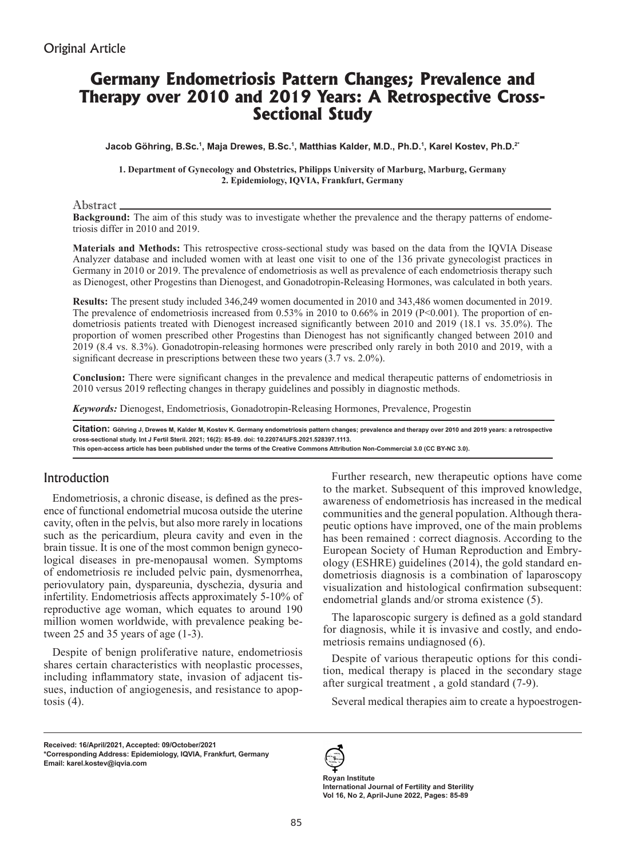# **Germany Endometriosis Pattern Changes; Prevalence and Therapy over 2010 and 2019 Years: A Retrospective Cross-Sectional Study**

**Jacob Göhring, B.Sc.<sup>1</sup> , Maja Drewes, B.Sc.<sup>1</sup> , Matthias Kalder, M.D., Ph.D.<sup>1</sup> , Karel Kostev, Ph.D.2\***

**1. Department of Gynecology and Obstetrics, Philipps University of Marburg, Marburg, Germany 2. Epidemiology, IQVIA, Frankfurt, Germany**

Abstract

**Background:** The aim of this study was to investigate whether the prevalence and the therapy patterns of endometriosis differ in 2010 and 2019.

**Materials and Methods:** This retrospective cross-sectional study was based on the data from the IQVIA Disease Analyzer database and included women with at least one visit to one of the 136 private gynecologist practices in Germany in 2010 or 2019. The prevalence of endometriosis as well as prevalence of each endometriosis therapy such as Dienogest, other Progestins than Dienogest, and Gonadotropin-Releasing Hormones, was calculated in both years.

**Results:** The present study included 346,249 women documented in 2010 and 343,486 women documented in 2019. The prevalence of endometriosis increased from 0.53% in 2010 to 0.66% in 2019 (P<0.001). The proportion of endometriosis patients treated with Dienogest increased significantly between 2010 and 2019 (18.1 vs. 35.0%). The proportion of women prescribed other Progestins than Dienogest has not significantly changed between 2010 and 2019 (8.4 vs. 8.3%). Gonadotropin-releasing hormones were prescribed only rarely in both 2010 and 2019, with a significant decrease in prescriptions between these two years (3.7 vs. 2.0%).

**Conclusion:** There were significant changes in the prevalence and medical therapeutic patterns of endometriosis in 2010 versus 2019 reflecting changes in therapy guidelines and possibly in diagnostic methods.

*Keywords:* Dienogest, Endometriosis, Gonadotropin-Releasing Hormones, Prevalence, Progestin

**Citation: Göhring J, Drewes M, Kalder M, Kostev K. Germany endometriosis pattern changes; prevalence and therapy over 2010 and 2019 years: a retrospective cross-sectional study. Int J Fertil Steril. 2021; 16(2): 85-89. doi: 10.22074/IJFS.2021.528397.1113. This open-access article has been published under the terms of the Creative Commons Attribution Non-Commercial 3.0 (CC BY-NC 3.0).**

### Introduction

Endometriosis, a chronic disease, is defined as the presence of functional endometrial mucosa outside the uterine cavity, often in the pelvis, but also more rarely in locations such as the pericardium, pleura cavity and even in the brain tissue. It is one of the most common benign gynecological diseases in pre-menopausal women. Symptoms of endometriosis re included pelvic pain, dysmenorrhea, periovulatory pain, dyspareunia, dyschezia, dysuria and infertility. Endometriosis affects approximately 5-10% of reproductive age woman, which equates to around 190 million women worldwide, with prevalence peaking between 25 and 35 years of age (1-3).

Despite of benign proliferative nature, endometriosis shares certain characteristics with neoplastic processes, including inflammatory state, invasion of adjacent tissues, induction of angiogenesis, and resistance to apoptosis  $(4)$ .

Further research, new therapeutic options have come to the market. Subsequent of this improved knowledge, awareness of endometriosis has increased in the medical communities and the general population. Although therapeutic options have improved, one of the main problems has been remained : correct diagnosis. According to the European Society of Human Reproduction and Embry- $\overline{O}$ ology (ESHRE) guidelines (2014), the gold standard endometriosis diagnosis is a combination of laparoscopy visualization and histological confirmation subsequent: endometrial glands and/or stroma existence (5).

The laparoscopic surgery is defined as a gold standard for diagnosis, while it is invasive and costly, and endometriosis remains undiagnosed (6).

Despite of various therapeutic options for this condition, medical therapy is placed in the secondary stage after surgical treatment , a gold standard (7-9).

Several medical therapies aim to create a hypoestrogen-

**Received: 16/April/2021, Accepted: 09/October/2021 \*Corresponding Address: Epidemiology, IQVIA, Frankfurt, Germany Email: karel.kostev@iqvia.com**



**Royan Institute International Journal of Fertility and Sterility Vol 16, No 2, April-June 2022, Pages: 85-89**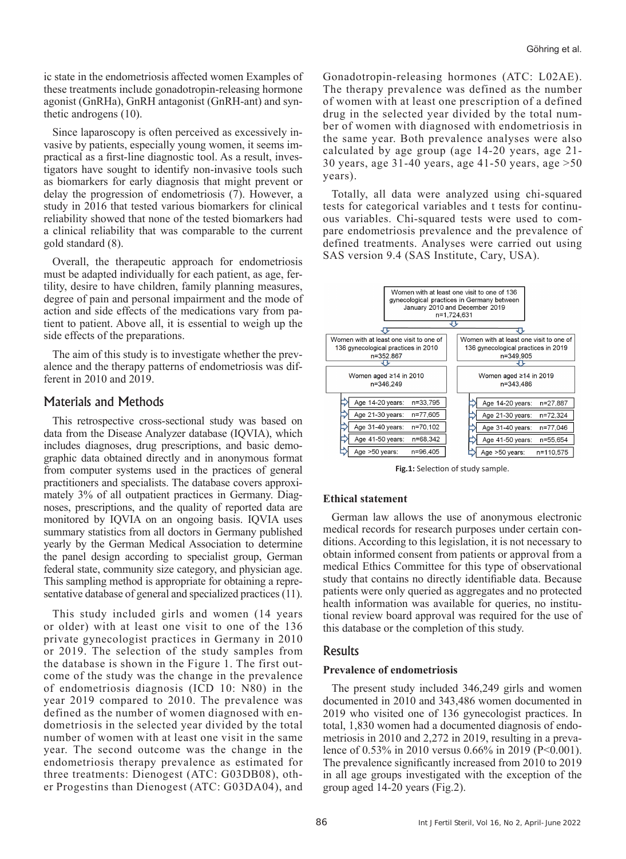ic state in the endometriosis affected women Examples of these treatments include gonadotropin-releasing hormone agonist (GnRHa), GnRH antagonist (GnRH-ant) and synthetic androgens (10).

Since laparoscopy is often perceived as excessively invasive by patients, especially young women, it seems impractical as a first-line diagnostic tool. As a result, investigators have sought to identify non-invasive tools such as biomarkers for early diagnosis that might prevent or delay the progression of endometriosis (7). However, a study in 2016 that tested various biomarkers for clinical reliability showed that none of the tested biomarkers had a clinical reliability that was comparable to the current gold standard (8).

Overall, the therapeutic approach for endometriosis must be adapted individually for each patient, as age, fertility, desire to have children, family planning measures, degree of pain and personal impairment and the mode of action and side effects of the medications vary from patient to patient. Above all, it is essential to weigh up the side effects of the preparations.

The aim of this study is to investigate whether the prevalence and the therapy patterns of endometriosis was different in 2010 and 2019.

# Materials and Methods

This retrospective cross-sectional study was based on data from the Disease Analyzer database (IQVIA), which includes diagnoses, drug prescriptions, and basic demographic data obtained directly and in anonymous format from computer systems used in the practices of general practitioners and specialists. The database covers approximately 3% of all outpatient practices in Germany. Diagnoses, prescriptions, and the quality of reported data are monitored by IQVIA on an ongoing basis. IQVIA uses summary statistics from all doctors in Germany published yearly by the German Medical Association to determine the panel design according to specialist group, German federal state, community size category, and physician age. This sampling method is appropriate for obtaining a representative database of general and specialized practices (11).

This study included girls and women (14 years or older) with at least one visit to one of the 136 private gynecologist practices in Germany in 2010 or 2019. The selection of the study samples from the database is shown in the Figure 1. The first outcome of the study was the change in the prevalence of endometriosis diagnosis (ICD 10: N80) in the year 2019 compared to 2010. The prevalence was defined as the number of women diagnosed with endometriosis in the selected year divided by the total number of women with at least one visit in the same year. The second outcome was the change in the endometriosis therapy prevalence as estimated for three treatments: Dienogest (ATC: G03DB08), other Progestins than Dienogest (ATC: G03DA04), and

Gonadotropin-releasing hormones (ATC: L02AE). The therapy prevalence was defined as the number of women with at least one prescription of a defined drug in the selected year divided by the total number of women with diagnosed with endometriosis in the same year. Both prevalence analyses were also calculated by age group (age 14-20 years, age 21- 30 years, age 31-40 years, age 41-50 years, age >50 years).

Totally, all data were analyzed using chi-squared tests for categorical variables and t tests for continuous variables. Chi-squared tests were used to compare endometriosis prevalence and the prevalence of defined treatments. Analyses were carried out using SAS version 9.4 (SAS Institute, Cary, USA).



**Fig.1:** Selection of study sample.

### **Ethical statement**

German law allows the use of anonymous electronic medical records for research purposes under certain conditions. According to this legislation, it is not necessary to obtain informed consent from patients or approval from a medical Ethics Committee for this type of observational study that contains no directly identifiable data. Because patients were only queried as aggregates and no protected health information was available for queries, no institutional review board approval was required for the use of this database or the completion of this study.

### Results

### **Prevalence of endometriosis**

The present study included 346,249 girls and women documented in 2010 and 343,486 women documented in 2019 who visited one of 136 gynecologist practices. In total, 1,830 women had a documented diagnosis of endometriosis in 2010 and 2,272 in 2019, resulting in a prevalence of 0.53% in 2010 versus 0.66% in 2019 (P<0.001). The prevalence significantly increased from 2010 to 2019 in all age groups investigated with the exception of the group aged 14-20 years (Fig.2).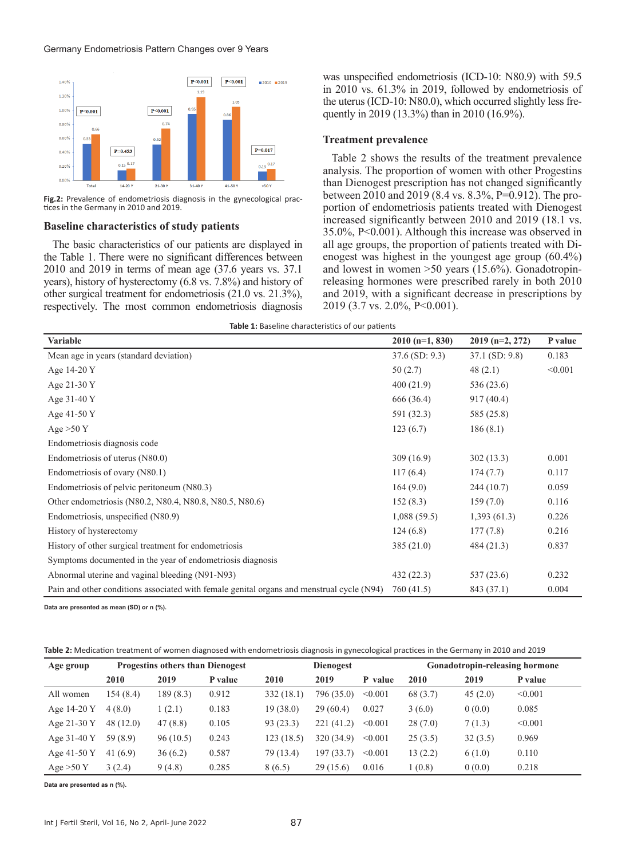

Fig.2: Prevalence of endometriosis diagnosis in the gynecological practices in the Germany in 2010 and 2019.

#### **Baseline characteristics of study patients**

The basic characteristics of our patients are displayed in the Table 1. There were no significant differences between 2010 and 2019 in terms of mean age (37.6 years vs. 37.1 years), history of hysterectomy (6.8 vs. 7.8%) and history of other surgical treatment for endometriosis (21.0 vs. 21.3%), respectively. The most common endometriosis diagnosis

was unspecified endometriosis (ICD-10: N80.9) with 59.5 in 2010 vs. 61.3% in 2019, followed by endometriosis of the uterus (ICD-10: N80.0), which occurred slightly less frequently in 2019 (13.3%) than in 2010 (16.9%).

#### **Treatment prevalence**

Table 2 shows the results of the treatment prevalence analysis. The proportion of women with other Progestins than Dienogest prescription has not changed significantly between 2010 and 2019 (8.4 vs. 8.3%, P=0.912). The proportion of endometriosis patients treated with Dienogest increased significantly between 2010 and 2019 (18.1 vs. 35.0%, P<0.001). Although this increase was observed in all age groups, the proportion of patients treated with Dienogest was highest in the youngest age group (60.4%) and lowest in women >50 years (15.6%). Gonadotropinreleasing hormones were prescribed rarely in both 2010 and 2019, with a significant decrease in prescriptions by 2019 (3.7 vs. 2.0%, P<0.001).

|  | Table 1: Baseline characteristics of our patients |
|--|---------------------------------------------------|
|--|---------------------------------------------------|

| Variable                                                                                  | $2010$ (n=1, 830) | $2019$ (n=2, 272) | P value |
|-------------------------------------------------------------------------------------------|-------------------|-------------------|---------|
| Mean age in years (standard deviation)                                                    | $37.6$ (SD: 9.3)  | $37.1$ (SD: 9.8)  | 0.183   |
| Age 14-20 Y                                                                               | 50(2.7)           | 48(2.1)           | < 0.001 |
| Age 21-30 Y                                                                               | 400(21.9)         | 536(23.6)         |         |
| Age 31-40 Y                                                                               | 666 (36.4)        | 917(40.4)         |         |
| Age 41-50 Y                                                                               | 591 (32.3)        | 585 (25.8)        |         |
| Age $>50 Y$                                                                               | 123(6.7)          | 186(8.1)          |         |
| Endometriosis diagnosis code                                                              |                   |                   |         |
| Endometriosis of uterus (N80.0)                                                           | 309(16.9)         | 302(13.3)         | 0.001   |
| Endometriosis of ovary (N80.1)                                                            | 117(6.4)          | 174(7.7)          | 0.117   |
| Endometriosis of pelvic peritoneum (N80.3)                                                | 164(9.0)          | 244(10.7)         | 0.059   |
| Other endometriosis (N80.2, N80.4, N80.8, N80.5, N80.6)                                   | 152(8.3)          | 159(7.0)          | 0.116   |
| Endometriosis, unspecified (N80.9)                                                        | 1,088(59.5)       | 1,393(61.3)       | 0.226   |
| History of hysterectomy                                                                   | 124(6.8)          | 177(7.8)          | 0.216   |
| History of other surgical treatment for endometriosis                                     | 385(21.0)         | 484 (21.3)        | 0.837   |
| Symptoms documented in the year of endometriosis diagnosis                                |                   |                   |         |
| Abnormal uterine and vaginal bleeding (N91-N93)                                           | 432 (22.3)        | 537(23.6)         | 0.232   |
| Pain and other conditions associated with female genital organs and menstrual cycle (N94) | 760 (41.5)        | 843 (37.1)        | 0.004   |

**Data are presented as mean (SD) or n (%).**

**Table 2:** Medication treatment of women diagnosed with endometriosis diagnosis in gynecological practices in the Germany in 2010 and 2019

| Age group   | <b>Progestins others than Dienogest</b> |          |         | <b>Dienogest</b> |               |         | <b>Gonadotropin-releasing hormone</b> |         |         |
|-------------|-----------------------------------------|----------|---------|------------------|---------------|---------|---------------------------------------|---------|---------|
|             | 2010                                    | 2019     | P value | 2010             | 2019          | P value | 2010                                  | 2019    | P value |
| All women   | 154(8.4)                                | 189(8.3) | 0.912   | 332(18.1)        | 796 (35.0)    | < 0.001 | 68 (3.7)                              | 45(2.0) | < 0.001 |
| Age 14-20 Y | 4(8.0)                                  | 1(2.1)   | 0.183   | 19(38.0)         | 29(60.4)      | 0.027   | 3(6.0)                                | 0(0.0)  | 0.085   |
| Age 21-30 Y | 48(12.0)                                | 47(8.8)  | 0.105   | 93(23.3)         | (41.2)<br>221 | < 0.001 | 28(7.0)                               | 7(1.3)  | < 0.001 |
| Age 31-40 Y | 59 (8.9)                                | 96(10.5) | 0.243   | 123(18.5)        | 320 (34.9)    | < 0.001 | 25(3.5)                               | 32(3.5) | 0.969   |
| Age 41-50 Y | 41(6.9)                                 | 36(6.2)  | 0.587   | 79 (13.4)        | 197 (33.7)    | < 0.001 | 13(2.2)                               | 6(1.0)  | 0.110   |
| Age $>50$ Y | 3(2.4)                                  | 9(4.8)   | 0.285   | 8(6.5)           | 29(15.6)      | 0.016   | 1(0.8)                                | 0(0.0)  | 0.218   |

**Data are presented as n (%).**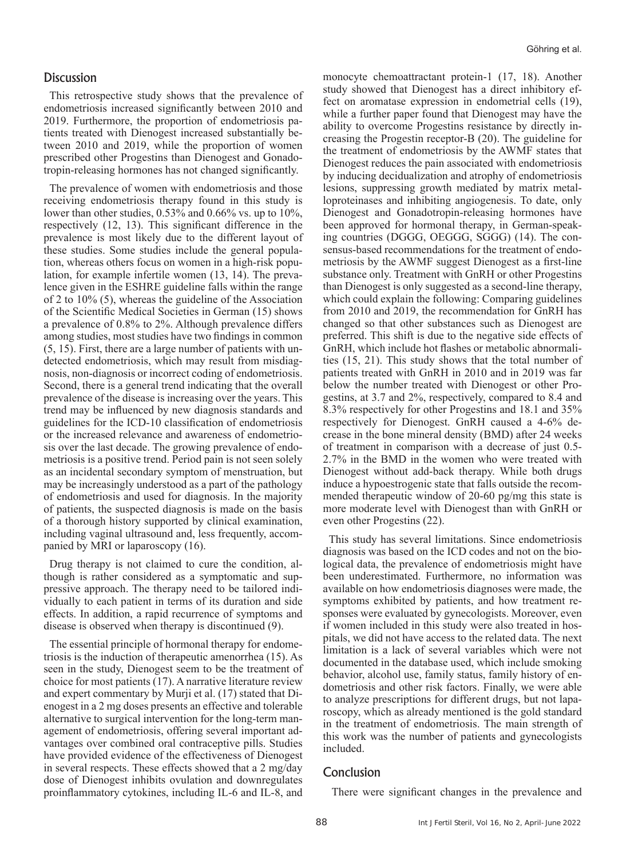## **Discussion**

This retrospective study shows that the prevalence of endometriosis increased significantly between 2010 and 2019. Furthermore, the proportion of endometriosis patients treated with Dienogest increased substantially between 2010 and 2019, while the proportion of women prescribed other Progestins than Dienogest and Gonadotropin-releasing hormones has not changed significantly.

The prevalence of women with endometriosis and those receiving endometriosis therapy found in this study is lower than other studies, 0.53% and 0.66% vs. up to 10%, respectively (12, 13). This significant difference in the prevalence is most likely due to the different layout of these studies. Some studies include the general population, whereas others focus on women in a high-risk population, for example infertile women (13, 14). The prevalence given in the ESHRE guideline falls within the range of 2 to 10% (5), whereas the guideline of the Association of the Scientific Medical Societies in German (15) shows a prevalence of 0.8% to 2%. Although prevalence differs among studies, most studies have two findings in common (5, 15). First, there are a large number of patients with undetected endometriosis, which may result from misdiagnosis, non-diagnosis or incorrect coding of endometriosis. Second, there is a general trend indicating that the overall prevalence of the disease is increasing over the years. This trend may be influenced by new diagnosis standards and guidelines for the ICD-10 classification of endometriosis or the increased relevance and awareness of endometriosis over the last decade. The growing prevalence of endometriosis is a positive trend. Period pain is not seen solely as an incidental secondary symptom of menstruation, but may be increasingly understood as a part of the pathology of endometriosis and used for diagnosis. In the majority of patients, the suspected diagnosis is made on the basis of a thorough history supported by clinical examination, including vaginal ultrasound and, less frequently, accompanied by MRI or laparoscopy (16).

Drug therapy is not claimed to cure the condition, although is rather considered as a symptomatic and suppressive approach. The therapy need to be tailored individually to each patient in terms of its duration and side effects. In addition, a rapid recurrence of symptoms and disease is observed when therapy is discontinued (9).

The essential principle of hormonal therapy for endometriosis is the induction of therapeutic amenorrhea (15). As seen in the study, Dienogest seem to be the treatment of choice for most patients (17). A narrative literature review and expert commentary by Murji et al. (17) stated that Dienogest in a 2 mg doses presents an effective and tolerable alternative to surgical intervention for the long-term management of endometriosis, offering several important advantages over combined oral contraceptive pills. Studies have provided evidence of the effectiveness of Dienogest in several respects. These effects showed that a 2 mg/day dose of Dienogest inhibits ovulation and downregulates proinflammatory cytokines, including IL-6 and IL-8, and

monocyte chemoattractant protein-1 (17, 18). Another study showed that Dienogest has a direct inhibitory effect on aromatase expression in endometrial cells (19), while a further paper found that Dienogest may have the ability to overcome Progestins resistance by directly increasing the Progestin receptor-B (20). The guideline for the treatment of endometriosis by the AWMF states that Dienogest reduces the pain associated with endometriosis by inducing decidualization and atrophy of endometriosis lesions, suppressing growth mediated by matrix metalloproteinases and inhibiting angiogenesis. To date, only Dienogest and Gonadotropin-releasing hormones have been approved for hormonal therapy, in German-speaking countries (DGGG, OEGGG, SGGG) (14). The consensus-based recommendations for the treatment of endometriosis by the AWMF suggest Dienogest as a first-line substance only. Treatment with GnRH or other Progestins than Dienogest is only suggested as a second-line therapy, which could explain the following: Comparing guidelines from 2010 and 2019, the recommendation for GnRH has changed so that other substances such as Dienogest are preferred. This shift is due to the negative side effects of GnRH, which include hot flashes or metabolic abnormalities (15, 21). This study shows that the total number of patients treated with GnRH in 2010 and in 2019 was far below the number treated with Dienogest or other Progestins, at 3.7 and 2%, respectively, compared to 8.4 and 8.3% respectively for other Progestins and 18.1 and 35% respectively for Dienogest. GnRH caused a 4-6% decrease in the bone mineral density (BMD) after 24 weeks of treatment in comparison with a decrease of just 0.5- 2.7% in the BMD in the women who were treated with Dienogest without add-back therapy. While both drugs induce a hypoestrogenic state that falls outside the recommended therapeutic window of 20-60 pg/mg this state is more moderate level with Dienogest than with GnRH or even other Progestins (22).

This study has several limitations. Since endometriosis diagnosis was based on the ICD codes and not on the biological data, the prevalence of endometriosis might have been underestimated. Furthermore, no information was available on how endometriosis diagnoses were made, the symptoms exhibited by patients, and how treatment responses were evaluated by gynecologists. Moreover, even if women included in this study were also treated in hospitals, we did not have access to the related data. The next limitation is a lack of several variables which were not documented in the database used, which include smoking behavior, alcohol use, family status, family history of endometriosis and other risk factors. Finally, we were able to analyze prescriptions for different drugs, but not laparoscopy, which as already mentioned is the gold standard in the treatment of endometriosis. The main strength of this work was the number of patients and gynecologists included.

### Conclusion

There were significant changes in the prevalence and